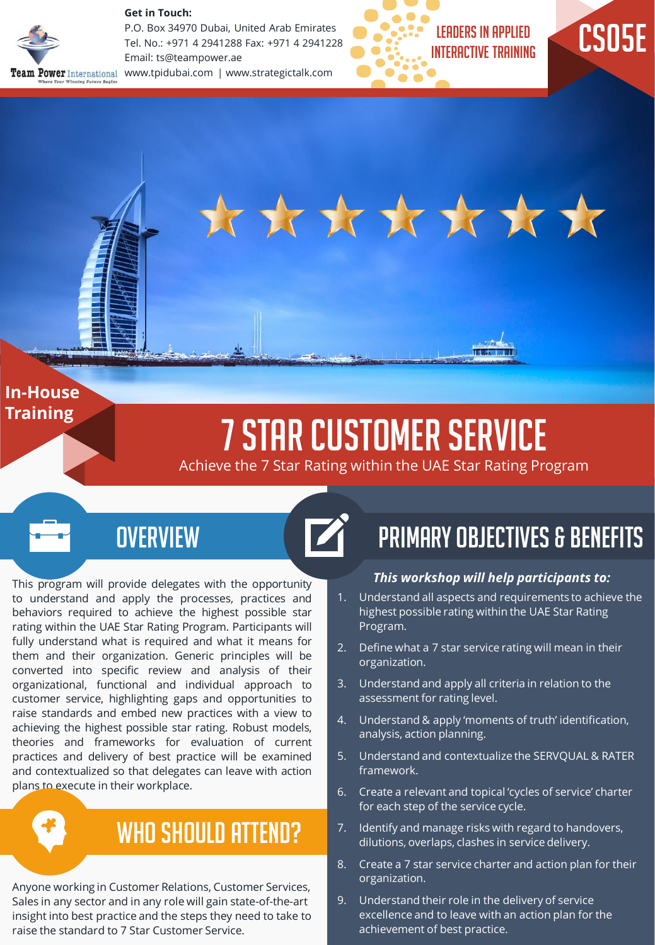

**Get in Touch:** 

P.O. Box 34970 Dubai, United Arab Emirates Tel. No.: +971 4 2941288 Fax: +971 4 2941228 Email: ts@teampower.ae Team Power International www.tpidubai.com | www.strategictalk.com





\*\*\*\*\*\*\*\*

#### **In-House Training**

# 7 Star Customer Service

Achieve the 7 Star Rating within the UAE Star Rating Program

### **OVERVIEW**

This program will provide delegates with the opportunity to understand and apply the processes, practices and behaviors required to achieve the highest possible star rating within the UAE Star Rating Program. Participants will fully understand what is required and what it means for them and their organization. Generic principles will be converted into specific review and analysis of their organizational, functional and individual approach to customer service, highlighting gaps and opportunities to raise standards and embed new practices with a view to achieving the highest possible star rating. Robust models, theories and frameworks for evaluation of current practices and delivery of best practice will be examined and contextualized so that delegates can leave with action plans to execute in their workplace.

## WHO SHOULD ATTEND?

Anyone working in Customer Relations, Customer Services, Sales in any sector and in any role will gain state-of-the-art insight into best practice and the steps they need to take to raise the standard to 7 Star Customer Service.

## Primary Objectives & Benefits

#### *This workshop will help participants to:*

- 1. Understand all aspects and requirements to achieve the highest possible rating within the UAE Star Rating Program.
- 2. Define what a 7 star service rating will mean in their organization.
- 3. Understand and apply all criteria in relation to the assessment for rating level.
- 4. Understand & apply 'moments of truth' identification, analysis, action planning.
- 5. Understand and contextualize the SERVQUAL & RATER framework.
- 6. Create a relevant and topical 'cycles of service' charter for each step of the service cycle.
- 7. Identify and manage risks with regard to handovers, dilutions, overlaps, clashes in service delivery.
- 8. Create a 7 star service charter and action plan for their organization.
- 9. Understand their role in the delivery of service excellence and to leave with an action plan for the achievement of best practice.